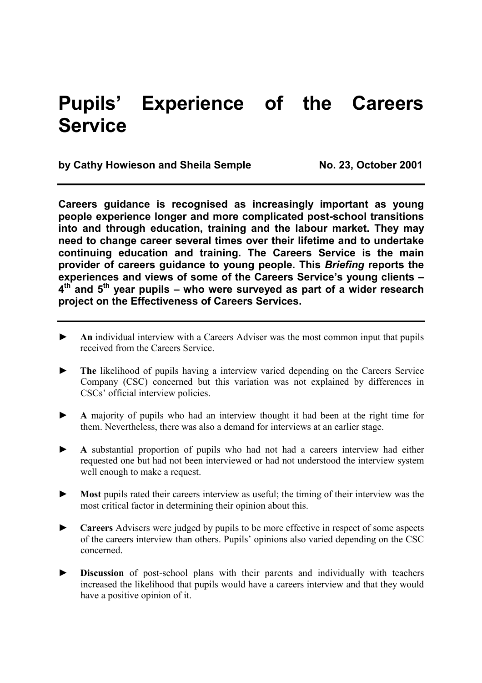# **Pupils' Experience of the Careers Service**

by Cathy Howieson and Sheila Semple No. 23, October 2001

**Careers guidance is recognised as increasingly important as young people experience longer and more complicated post-school transitions into and through education, training and the labour market. They may need to change career several times over their lifetime and to undertake continuing education and training. The Careers Service is the main provider of careers guidance to young people. This** *Briefing* **reports the experiences and views of some of the Careers Service's young clients – 4th and 5th year pupils – who were surveyed as part of a wider research project on the Effectiveness of Careers Services.** 

- ► **An** individual interview with a Careers Adviser was the most common input that pupils received from the Careers Service.
- The likelihood of pupils having a interview varied depending on the Careers Service Company (CSC) concerned but this variation was not explained by differences in CSCs' official interview policies.
- ► **A** majority of pupils who had an interview thought it had been at the right time for them. Nevertheless, there was also a demand for interviews at an earlier stage.
- ► **A** substantial proportion of pupils who had not had a careers interview had either requested one but had not been interviewed or had not understood the interview system well enough to make a request.
- ► **Most** pupils rated their careers interview as useful; the timing of their interview was the most critical factor in determining their opinion about this.
- ► **Careers** Advisers were judged by pupils to be more effective in respect of some aspects of the careers interview than others. Pupils' opinions also varied depending on the CSC concerned.
- ► **Discussion** of post-school plans with their parents and individually with teachers increased the likelihood that pupils would have a careers interview and that they would have a positive opinion of it.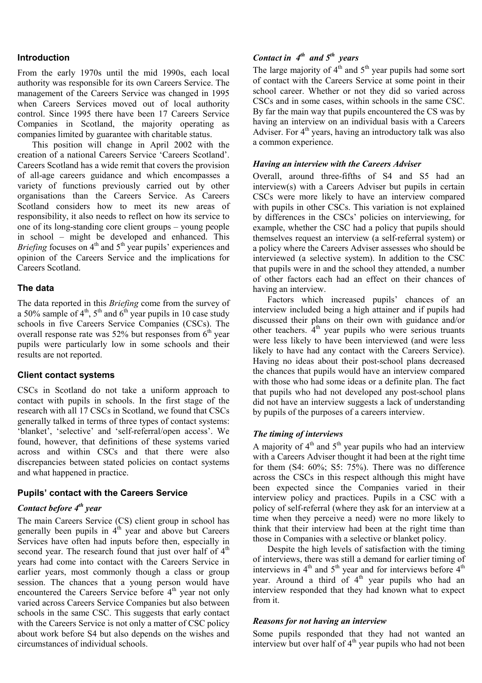#### **Introduction**

From the early 1970s until the mid 1990s, each local authority was responsible for its own Careers Service. The management of the Careers Service was changed in 1995 when Careers Services moved out of local authority control. Since 1995 there have been 17 Careers Service Companies in Scotland, the majority operating as companies limited by guarantee with charitable status.

 This position will change in April 2002 with the creation of a national Careers Service 'Careers Scotland'. Careers Scotland has a wide remit that covers the provision of all-age careers guidance and which encompasses a variety of functions previously carried out by other organisations than the Careers Service. As Careers Scotland considers how to meet its new areas of responsibility, it also needs to reflect on how its service to one of its long-standing core client groups – young people in school – might be developed and enhanced. This *Briefing* focuses on  $4<sup>th</sup>$  and  $5<sup>th</sup>$  year pupils' experiences and opinion of the Careers Service and the implications for Careers Scotland.

## **The data**

The data reported in this *Briefing* come from the survey of a 50% sample of  $4<sup>th</sup>$ ,  $5<sup>th</sup>$  and  $6<sup>th</sup>$  year pupils in 10 case study schools in five Careers Service Companies (CSCs). The overall response rate was  $52\%$  but responses from  $6<sup>th</sup>$  year pupils were particularly low in some schools and their results are not reported.

#### **Client contact systems**

CSCs in Scotland do not take a uniform approach to contact with pupils in schools. In the first stage of the research with all 17 CSCs in Scotland, we found that CSCs generally talked in terms of three types of contact systems: 'blanket', 'selective' and 'self-referral/open access'. We found, however, that definitions of these systems varied across and within CSCs and that there were also discrepancies between stated policies on contact systems and what happened in practice.

# **Pupils' contact with the Careers Service**

#### *Contact before*  $4<sup>th</sup>$  year

The main Careers Service (CS) client group in school has generally been pupils in  $4<sup>th</sup>$  year and above but Careers Services have often had inputs before then, especially in second year. The research found that just over half of  $4<sup>th</sup>$ years had come into contact with the Careers Service in earlier years, most commonly though a class or group session. The chances that a young person would have encountered the Careers Service before  $4<sup>th</sup>$  year not only varied across Careers Service Companies but also between schools in the same CSC. This suggests that early contact with the Careers Service is not only a matter of CSC policy about work before S4 but also depends on the wishes and circumstances of individual schools.

# *Contact in 4<sup>th</sup> and 5<sup>th</sup> years*

The large majority of  $4<sup>th</sup>$  and  $5<sup>th</sup>$  year pupils had some sort of contact with the Careers Service at some point in their school career. Whether or not they did so varied across CSCs and in some cases, within schools in the same CSC. By far the main way that pupils encountered the CS was by having an interview on an individual basis with a Careers Adviser. For  $4<sup>th</sup>$  years, having an introductory talk was also a common experience.

## *Having an interview with the Careers Adviser*

Overall, around three-fifths of S4 and S5 had an interview(s) with a Careers Adviser but pupils in certain CSCs were more likely to have an interview compared with pupils in other CSCs. This variation is not explained by differences in the CSCs' policies on interviewing, for example, whether the CSC had a policy that pupils should themselves request an interview (a self-referral system) or a policy where the Careers Adviser assesses who should be interviewed (a selective system). In addition to the CSC that pupils were in and the school they attended, a number of other factors each had an effect on their chances of having an interview.

 Factors which increased pupils' chances of an interview included being a high attainer and if pupils had discussed their plans on their own with guidance and/or other teachers.  $4<sup>th</sup>$  year pupils who were serious truants were less likely to have been interviewed (and were less likely to have had any contact with the Careers Service). Having no ideas about their post-school plans decreased the chances that pupils would have an interview compared with those who had some ideas or a definite plan. The fact that pupils who had not developed any post-school plans did not have an interview suggests a lack of understanding by pupils of the purposes of a careers interview.

# *The timing of interviews*

A majority of  $4<sup>th</sup>$  and  $5<sup>th</sup>$  year pupils who had an interview with a Careers Adviser thought it had been at the right time for them (S4: 60%; S5: 75%). There was no difference across the CSCs in this respect although this might have been expected since the Companies varied in their interview policy and practices. Pupils in a CSC with a policy of self-referral (where they ask for an interview at a time when they perceive a need) were no more likely to think that their interview had been at the right time than those in Companies with a selective or blanket policy.

 Despite the high levels of satisfaction with the timing of interviews, there was still a demand for earlier timing of interviews in  $4<sup>th</sup>$  and  $5<sup>th</sup>$  year and for interviews before  $4<sup>th</sup>$ year. Around a third of  $4<sup>th</sup>$  year pupils who had an interview responded that they had known what to expect from it.

#### *Reasons for not having an interview*

Some pupils responded that they had not wanted an interview but over half of  $4<sup>th</sup>$  year pupils who had not been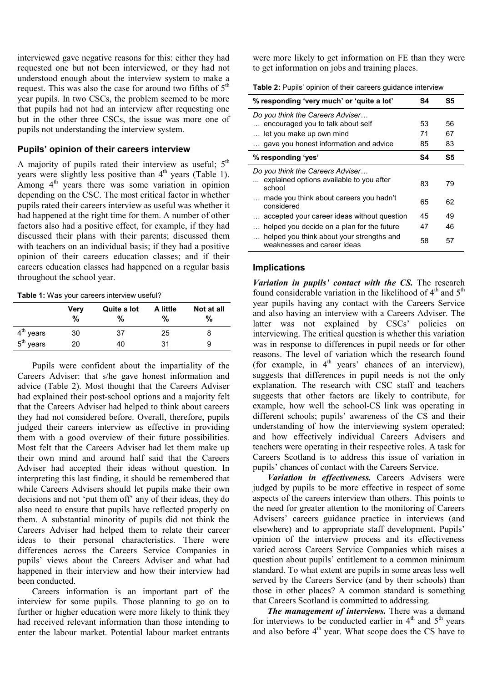interviewed gave negative reasons for this: either they had requested one but not been interviewed, or they had not understood enough about the interview system to make a request. This was also the case for around two fifths of  $5<sup>th</sup>$ year pupils. In two CSCs, the problem seemed to be more that pupils had not had an interview after requesting one but in the other three CSCs, the issue was more one of pupils not understanding the interview system.

#### **Pupils' opinion of their careers interview**

A majority of pupils rated their interview as useful:  $5<sup>th</sup>$ years were slightly less positive than  $4<sup>th</sup>$  years (Table 1). Among 4<sup>th</sup> years there was some variation in opinion depending on the CSC. The most critical factor in whether pupils rated their careers interview as useful was whether it had happened at the right time for them. A number of other factors also had a positive effect, for example, if they had discussed their plans with their parents; discussed them with teachers on an individual basis; if they had a positive opinion of their careers education classes; and if their careers education classes had happened on a regular basis throughout the school year.

#### **Table 1:** Was your careers interview useful?

|             | Very<br>% | Quite a lot<br>% | A little<br>% | Not at all<br>% |
|-------------|-----------|------------------|---------------|-----------------|
| $4th$ years | 30        | 37               | 25            | 8               |
| $5th$ years | 20        | 40               | 31            | 9               |

 Pupils were confident about the impartiality of the Careers Adviser: that s/he gave honest information and advice (Table 2). Most thought that the Careers Adviser had explained their post-school options and a majority felt that the Careers Adviser had helped to think about careers they had not considered before. Overall, therefore, pupils judged their careers interview as effective in providing them with a good overview of their future possibilities. Most felt that the Careers Adviser had let them make up their own mind and around half said that the Careers Adviser had accepted their ideas without question. In interpreting this last finding, it should be remembered that while Careers Advisers should let pupils make their own decisions and not 'put them off' any of their ideas, they do also need to ensure that pupils have reflected properly on them. A substantial minority of pupils did not think the Careers Adviser had helped them to relate their career ideas to their personal characteristics. There were differences across the Careers Service Companies in pupils' views about the Careers Adviser and what had happened in their interview and how their interview had been conducted.

 Careers information is an important part of the interview for some pupils. Those planning to go on to further or higher education were more likely to think they had received relevant information than those intending to enter the labour market. Potential labour market entrants were more likely to get information on FE than they were to get information on jobs and training places.

**Table 2:** Pupils' opinion of their careers guidance interview

| % responding 'very much' or 'quite a lot'                                             | S4 | S5 |
|---------------------------------------------------------------------------------------|----|----|
| Do you think the Careers Adviser                                                      |    |    |
| encouraged you to talk about self                                                     | 53 | 56 |
| let you make up own mind<br>$\cdots$                                                  | 71 | 67 |
| gave you honest information and advice                                                | 85 | 83 |
| % responding 'yes'                                                                    | S4 | S5 |
| Do you think the Careers Adviser                                                      |    |    |
| explained options available to you after<br>school                                    | 83 | 79 |
| made you think about careers you hadn't<br>considered                                 | 65 | 62 |
| accepted your career ideas without question                                           | 45 | 49 |
| helped you decide on a plan for the future                                            | 47 | 46 |
| helped you think about your strengths and<br>$\ddotsc$<br>weaknesses and career ideas | 58 | 57 |

#### **Implications**

 $\overline{a}$ 

*Variation in pupils' contact with the CS.* The research found considerable variation in the likelihood of  $4<sup>th</sup>$  and  $5<sup>th</sup>$ year pupils having any contact with the Careers Service and also having an interview with a Careers Adviser. The latter was not explained by CSCs' policies on interviewing. The critical question is whether this variation was in response to differences in pupil needs or for other reasons. The level of variation which the research found (for example, in  $4<sup>th</sup>$  years' chances of an interview), suggests that differences in pupil needs is not the only explanation. The research with CSC staff and teachers suggests that other factors are likely to contribute, for example, how well the school-CS link was operating in different schools; pupils' awareness of the CS and their understanding of how the interviewing system operated; and how effectively individual Careers Advisers and teachers were operating in their respective roles. A task for Careers Scotland is to address this issue of variation in pupils' chances of contact with the Careers Service.

 *Variation in effectiveness.* Careers Advisers were judged by pupils to be more effective in respect of some aspects of the careers interview than others. This points to the need for greater attention to the monitoring of Careers Advisers' careers guidance practice in interviews (and elsewhere) and to appropriate staff development. Pupils' opinion of the interview process and its effectiveness varied across Careers Service Companies which raises a question about pupils' entitlement to a common minimum standard. To what extent are pupils in some areas less well served by the Careers Service (and by their schools) than those in other places? A common standard is something that Careers Scotland is committed to addressing.

 *The management of interviews.* There was a demand for interviews to be conducted earlier in  $4<sup>th</sup>$  and  $5<sup>th</sup>$  years and also before  $4<sup>th</sup>$  year. What scope does the CS have to